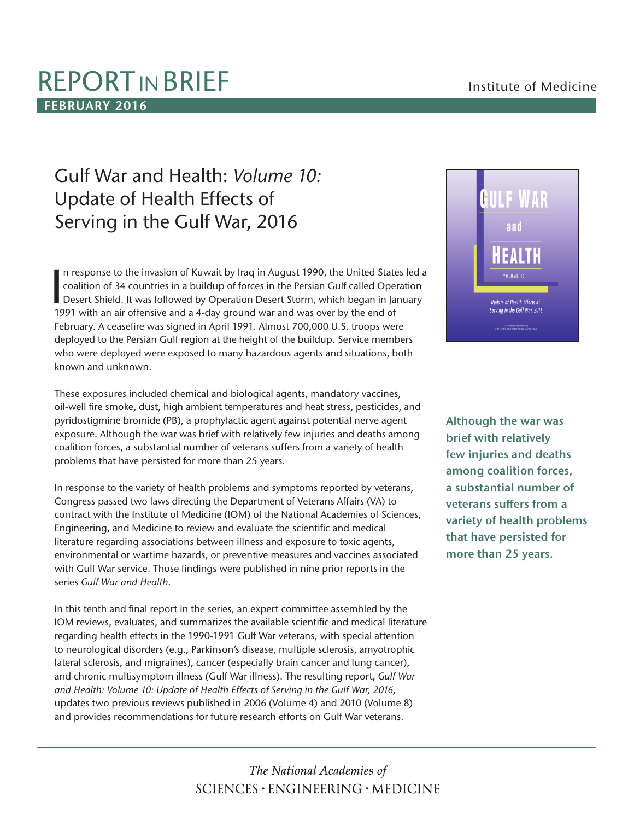# REPORT IN BRIEF **Institute of Medicine FEBRUARY 2016**

# Gulf War and Health: *Volume 10:* Update of Health Effects of Serving in the Gulf War, 2016

In response to the invasion of Kuwait by Iraq in August 1990, the United States led a coalition of 34 countries in a buildup of forces in the Persian Gulf called Operation Desert Shield. It was followed by Operation Desert n response to the invasion of Kuwait by Iraq in August 1990, the United States led a coalition of 34 countries in a buildup of forces in the Persian Gulf called Operation 1991 with an air offensive and a 4-day ground war and was over by the end of February. A ceasefire was signed in April 1991. Almost 700,000 U.S. troops were deployed to the Persian Gulf region at the height of the buildup. Service members who were deployed were exposed to many hazardous agents and situations, both known and unknown.

These exposures included chemical and biological agents, mandatory vaccines, oil-well fire smoke, dust, high ambient temperatures and heat stress, pesticides, and pyridostigmine bromide (PB), a prophylactic agent against potential nerve agent exposure. Although the war was brief with relatively few injuries and deaths among coalition forces, a substantial number of veterans suffers from a variety of health problems that have persisted for more than 25 years.

In response to the variety of health problems and symptoms reported by veterans, Congress passed two laws directing the Department of Veterans Affairs (VA) to contract with the Institute of Medicine (IOM) of the National Academies of Sciences, Engineering, and Medicine to review and evaluate the scientific and medical literature regarding associations between illness and exposure to toxic agents, environmental or wartime hazards, or preventive measures and vaccines associated with Gulf War service. Those findings were published in nine prior reports in the series *Gulf War and Health*.

In this tenth and final report in the series, an expert committee assembled by the IOM reviews, evaluates, and summarizes the available scientific and medical literature regarding health effects in the 1990-1991 Gulf War veterans, with special attention to neurological disorders (e.g., Parkinson's disease, multiple sclerosis, amyotrophic lateral sclerosis, and migraines), cancer (especially brain cancer and lung cancer), and chronic multisymptom illness (Gulf War illness). The resulting report, *Gulf War and Health: Volume 10: Update of Health Effects of Serving in the Gulf War, 2016,*  updates two previous reviews published in 2006 (Volume 4) and 2010 (Volume 8) and provides recommendations for future research efforts on Gulf War veterans.



**Although the war was brief with relatively few injuries and deaths among coalition forces, a substantial number of veterans suffers from a variety of health problems that have persisted for more than 25 years.** 

# The National Academies of  $SCIENCES \cdot ENGINEERING \cdot MEDICINE$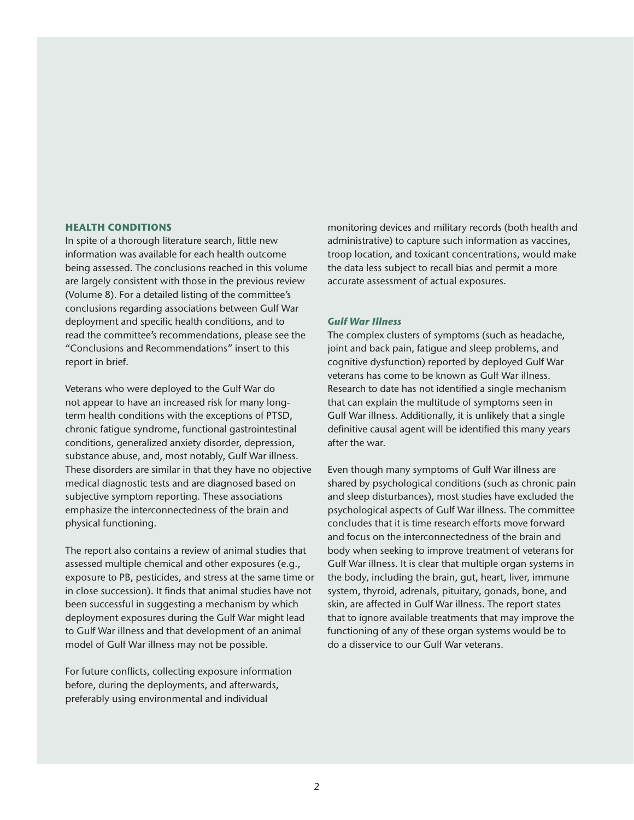### **HEALTH CONDITIONS**

In spite of a thorough literature search, little new information was available for each health outcome being assessed. The conclusions reached in this volume are largely consistent with those in the previous review (Volume 8). For a detailed listing of the committee's conclusions regarding associations between Gulf War deployment and specific health conditions, and to read the committee's recommendations, please see the "Conclusions and Recommendations" insert to this report in brief.

Veterans who were deployed to the Gulf War do not appear to have an increased risk for many longterm health conditions with the exceptions of PTSD, chronic fatigue syndrome, functional gastrointestinal conditions, generalized anxiety disorder, depression, substance abuse, and, most notably, Gulf War illness. These disorders are similar in that they have no objective medical diagnostic tests and are diagnosed based on subjective symptom reporting. These associations emphasize the interconnectedness of the brain and physical functioning.

The report also contains a review of animal studies that assessed multiple chemical and other exposures (e.g., exposure to PB, pesticides, and stress at the same time or in close succession). It finds that animal studies have not been successful in suggesting a mechanism by which deployment exposures during the Gulf War might lead to Gulf War illness and that development of an animal model of Gulf War illness may not be possible.

For future conflicts, collecting exposure information before, during the deployments, and afterwards, preferably using environmental and individual

monitoring devices and military records (both health and administrative) to capture such information as vaccines, troop location, and toxicant concentrations, would make the data less subject to recall bias and permit a more accurate assessment of actual exposures.

### *Gulf War Illness*

The complex clusters of symptoms (such as headache, joint and back pain, fatigue and sleep problems, and cognitive dysfunction) reported by deployed Gulf War veterans has come to be known as Gulf War illness. Research to date has not identified a single mechanism that can explain the multitude of symptoms seen in Gulf War illness. Additionally, it is unlikely that a single definitive causal agent will be identified this many years after the war.

Even though many symptoms of Gulf War illness are shared by psychological conditions (such as chronic pain and sleep disturbances), most studies have excluded the psychological aspects of Gulf War illness. The committee concludes that it is time research efforts move forward and focus on the interconnectedness of the brain and body when seeking to improve treatment of veterans for Gulf War illness. It is clear that multiple organ systems in the body, including the brain, gut, heart, liver, immune system, thyroid, adrenals, pituitary, gonads, bone, and skin, are affected in Gulf War illness. The report states that to ignore available treatments that may improve the functioning of any of these organ systems would be to do a disservice to our Gulf War veterans.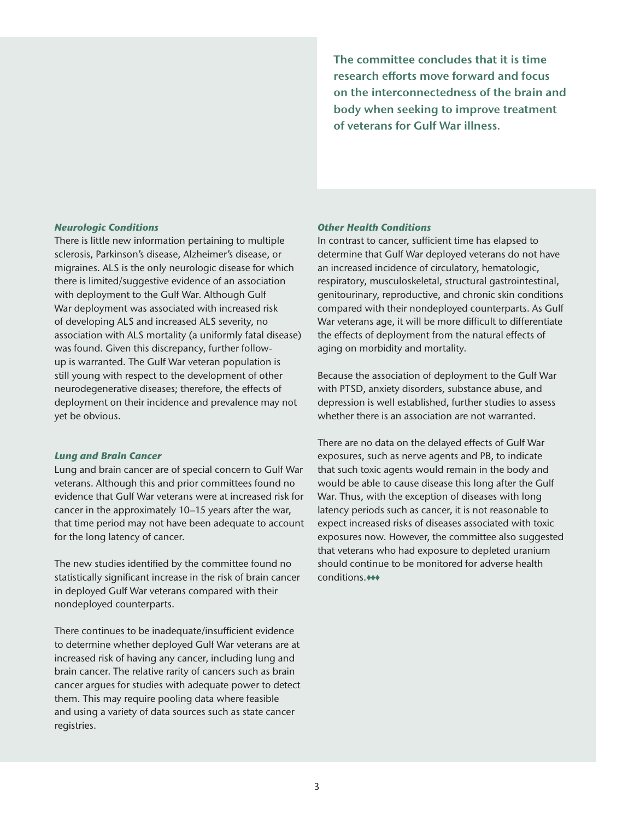**The committee concludes that it is time research efforts move forward and focus on the interconnectedness of the brain and body when seeking to improve treatment of veterans for Gulf War illness.**

# *Neurologic Conditions*

There is little new information pertaining to multiple sclerosis, Parkinson's disease, Alzheimer's disease, or migraines. ALS is the only neurologic disease for which there is limited/suggestive evidence of an association with deployment to the Gulf War. Although Gulf War deployment was associated with increased risk of developing ALS and increased ALS severity, no association with ALS mortality (a uniformly fatal disease) was found. Given this discrepancy, further followup is warranted. The Gulf War veteran population is still young with respect to the development of other neurodegenerative diseases; therefore, the effects of deployment on their incidence and prevalence may not yet be obvious.

# *Lung and Brain Cancer*

Lung and brain cancer are of special concern to Gulf War veterans. Although this and prior committees found no evidence that Gulf War veterans were at increased risk for cancer in the approximately 10–15 years after the war, that time period may not have been adequate to account for the long latency of cancer.

The new studies identified by the committee found no statistically significant increase in the risk of brain cancer in deployed Gulf War veterans compared with their nondeployed counterparts.

There continues to be inadequate/insufficient evidence to determine whether deployed Gulf War veterans are at increased risk of having any cancer, including lung and brain cancer. The relative rarity of cancers such as brain cancer argues for studies with adequate power to detect them. This may require pooling data where feasible and using a variety of data sources such as state cancer registries.

# *Other Health Conditions*

In contrast to cancer, sufficient time has elapsed to determine that Gulf War deployed veterans do not have an increased incidence of circulatory, hematologic, respiratory, musculoskeletal, structural gastrointestinal, genitourinary, reproductive, and chronic skin conditions compared with their nondeployed counterparts. As Gulf War veterans age, it will be more difficult to differentiate the effects of deployment from the natural effects of aging on morbidity and mortality.

Because the association of deployment to the Gulf War with PTSD, anxiety disorders, substance abuse, and depression is well established, further studies to assess whether there is an association are not warranted.

There are no data on the delayed effects of Gulf War exposures, such as nerve agents and PB, to indicate that such toxic agents would remain in the body and would be able to cause disease this long after the Gulf War. Thus, with the exception of diseases with long latency periods such as cancer, it is not reasonable to expect increased risks of diseases associated with toxic exposures now. However, the committee also suggested that veterans who had exposure to depleted uranium should continue to be monitored for adverse health conditions.